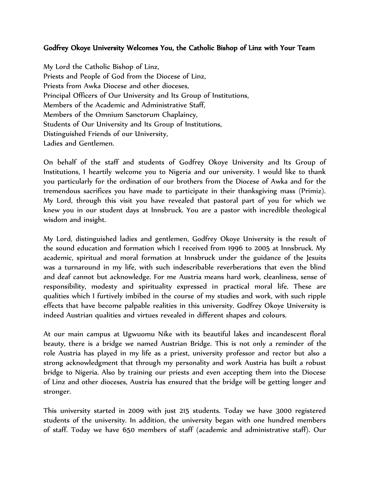## Godfrey Okoye University Welcomes You, the Catholic Bishop of Linz with Your Team

My Lord the Catholic Bishop of Linz, Priests and People of God from the Diocese of Linz, Priests from Awka Diocese and other dioceses, Principal Officers of Our University and Its Group of Institutions, Members of the Academic and Administrative Staff, Members of the Omnium Sanctorum Chaplaincy, Students of Our University and Its Group of Institutions, Distinguished Friends of our University, Ladies and Gentlemen.

On behalf of the staff and students of Godfrey Okoye University and Its Group of Institutions, I heartily welcome you to Nigeria and our university. I would like to thank you particularly for the ordination of our brothers from the Diocese of Awka and for the tremendous sacrifices you have made to participate in their thanksgiving mass (Primiz). My Lord, through this visit you have revealed that pastoral part of you for which we knew you in our student days at Innsbruck. You are a pastor with incredible theological wisdom and insight.

My Lord, distinguished ladies and gentlemen, Godfrey Okoye University is the result of the sound education and formation which I received from 1996 to 2005 at Innsbruck. My academic, spiritual and moral formation at Innsbruck under the guidance of the Jesuits was a turnaround in my life, with such indescribable reverberations that even the blind and deaf cannot but acknowledge. For me Austria means hard work, cleanliness, sense of responsibility, modesty and spirituality expressed in practical moral life. These are qualities which I furtively imbibed in the course of my studies and work, with such ripple effects that have become palpable realities in this university. Godfrey Okoye University is indeed Austrian qualities and virtues revealed in different shapes and colours.

At our main campus at Ugwuomu Nike with its beautiful lakes and incandescent floral beauty, there is a bridge we named Austrian Bridge. This is not only a reminder of the role Austria has played in my life as a priest, university professor and rector but also a strong acknowledgment that through my personality and work Austria has built a robust bridge to Nigeria. Also by training our priests and even accepting them into the Diocese of Linz and other dioceses, Austria has ensured that the bridge will be getting longer and stronger.

This university started in 2009 with just 215 students. Today we have 3000 registered students of the university. In addition, the university began with one hundred members of staff. Today we have 650 members of staff (academic and administrative staff). Our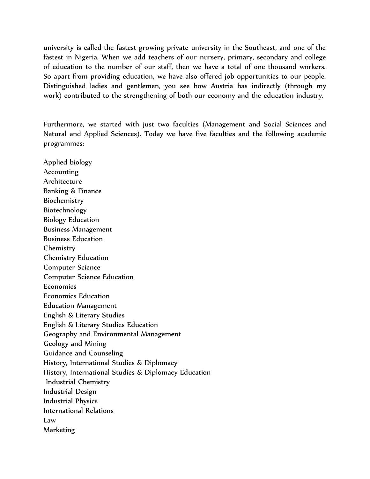university is called the fastest growing private university in the Southeast, and one of the fastest in Nigeria. When we add teachers of our nursery, primary, secondary and college of education to the number of our staff, then we have a total of one thousand workers. So apart from providing education, we have also offered job opportunities to our people. Distinguished ladies and gentlemen, you see how Austria has indirectly (through my work) contributed to the strengthening of both our economy and the education industry.

Furthermore, we started with just two faculties (Management and Social Sciences and Natural and Applied Sciences). Today we have five faculties and the following academic programmes:

Applied biology Accounting Architecture Banking & Finance Biochemistry Biotechnology Biology Education Business Management Business Education Chemistry Chemistry Education Computer Science Computer Science Education Economics Economics Education Education Management English & Literary Studies English & Literary Studies Education Geography and Environmental Management Geology and Mining Guidance and Counseling History, International Studies & Diplomacy History, International Studies & Diplomacy Education Industrial Chemistry Industrial Design Industrial Physics International Relations Law Marketing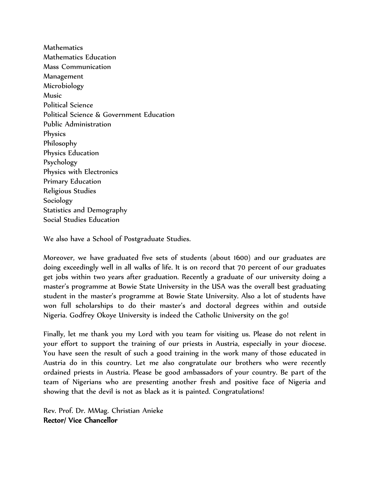Mathematics Mathematics Education Mass Communication Management Microbiology Music Political Science Political Science & Government Education Public Administration Physics Philosophy Physics Education Psychology Physics with Electronics Primary Education Religious Studies Sociology Statistics and Demography Social Studies Education

We also have a School of Postgraduate Studies.

Moreover, we have graduated five sets of students (about 1600) and our graduates are doing exceedingly well in all walks of life. It is on record that 70 percent of our graduates get jobs within two years after graduation. Recently a graduate of our university doing a master's programme at Bowie State University in the USA was the overall best graduating student in the master's programme at Bowie State University. Also a lot of students have won full scholarships to do their master's and doctoral degrees within and outside Nigeria. Godfrey Okoye University is indeed the Catholic University on the go!

Finally, let me thank you my Lord with you team for visiting us. Please do not relent in your effort to support the training of our priests in Austria, especially in your diocese. You have seen the result of such a good training in the work many of those educated in Austria do in this country. Let me also congratulate our brothers who were recently ordained priests in Austria. Please be good ambassadors of your country. Be part of the team of Nigerians who are presenting another fresh and positive face of Nigeria and showing that the devil is not as black as it is painted. Congratulations!

Rev. Prof. Dr. MMag. Christian Anieke Rector/ Vice Chancellor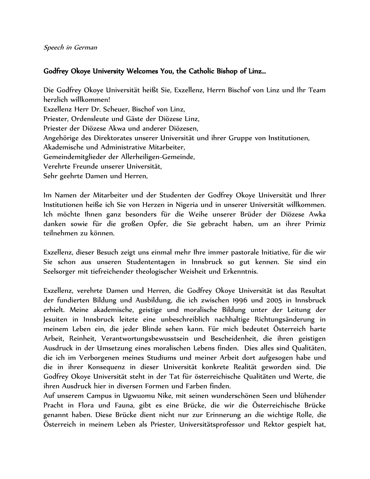## Godfrey Okoye University Welcomes You, the Catholic Bishop of Linz…

Die Godfrey Okoye Universität heißt Sie, Exzellenz, Herrn Bischof von Linz und Ihr Team herzlich willkommen! Exzellenz Herr Dr. Scheuer, Bischof von Linz, Priester, Ordensleute und Gäste der Diözese Linz, Priester der Diözese Akwa und anderer Diözesen, Angehörige des Direktorates unserer Universität und ihrer Gruppe von Institutionen, Akademische und Administrative Mitarbeiter, Gemeindemitglieder der Allerheiligen-Gemeinde, Verehrte Freunde unserer Universität, Sehr geehrte Damen und Herren,

Im Namen der Mitarbeiter und der Studenten der Godfrey Okoye Universität und Ihrer Institutionen heiße ich Sie von Herzen in Nigeria und in unserer Universität willkommen. Ich möchte Ihnen ganz besonders für die Weihe unserer Brüder der Diözese Awka danken sowie für die großen Opfer, die Sie gebracht haben, um an ihrer Primiz teilnehmen zu können.

Exzellenz, dieser Besuch zeigt uns einmal mehr Ihre immer pastorale Initiative, für die wir Sie schon aus unseren Studententagen in Innsbruck so gut kennen. Sie sind ein Seelsorger mit tiefreichender theologischer Weisheit und Erkenntnis.

Exzellenz, verehrte Damen und Herren, die Godfrey Okoye Universität ist das Resultat der fundierten Bildung und Ausbildung, die ich zwischen 1996 und 2005 in Innsbruck erhielt. Meine akademische, geistige und moralische Bildung unter der Leitung der Jesuiten in Innsbruck leitete eine unbeschreiblich nachhaltige Richtungsänderung in meinem Leben ein, die jeder Blinde sehen kann. Für mich bedeutet Österreich harte Arbeit, Reinheit, Verantwortungsbewusstsein und Bescheidenheit, die ihren geistigen Ausdruck in der Umsetzung eines moralischen Lebens finden. Dies alles sind Qualitäten, die ich im Verborgenen meines Studiums und meiner Arbeit dort aufgesogen habe und die in ihrer Konsequenz in dieser Universität konkrete Realität geworden sind. Die Godfrey Okoye Universität steht in der Tat für österreichische Qualitäten und Werte, die ihren Ausdruck hier in diversen Formen und Farben finden.

Auf unserem Campus in Ugwuomu Nike, mit seinen wunderschönen Seen und blühender Pracht in Flora und Fauna, gibt es eine Brücke, die wir die Österreichische Brücke genannt haben. Diese Brücke dient nicht nur zur Erinnerung an die wichtige Rolle, die Österreich in meinem Leben als Priester, Universitätsprofessor und Rektor gespielt hat,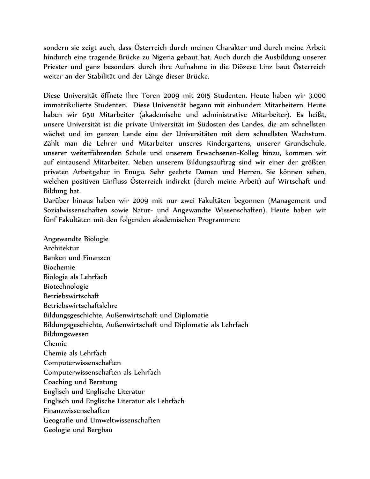sondern sie zeigt auch, dass Österreich durch meinen Charakter und durch meine Arbeit hindurch eine tragende Brücke zu Nigeria gebaut hat. Auch durch die Ausbildung unserer Priester und ganz besonders durch ihre Aufnahme in die Diözese Linz baut Österreich weiter an der Stabilität und der Länge dieser Brücke.

Diese Universität öffnete Ihre Toren 2009 mit 2015 Studenten. Heute haben wir 3.000 immatrikulierte Studenten. Diese Universität begann mit einhundert Mitarbeitern. Heute haben wir 650 Mitarbeiter (akademische und administrative Mitarbeiter). Es heißt, unsere Universität ist die private Universität im Südosten des Landes, die am schnellsten wächst und im ganzen Lande eine der Universitäten mit dem schnellsten Wachstum. Zählt man die Lehrer und Mitarbeiter unseres Kindergartens, unserer Grundschule, unserer weiterführenden Schule und unserem Erwachsenen-Kolleg hinzu, kommen wir auf eintausend Mitarbeiter. Neben unserem Bildungsauftrag sind wir einer der größten privaten Arbeitgeber in Enugu. Sehr geehrte Damen und Herren, Sie können sehen, welchen positiven Einfluss Österreich indirekt (durch meine Arbeit) auf Wirtschaft und Bildung hat.

Darüber hinaus haben wir 2009 mit nur zwei Fakultäten begonnen (Management und Sozialwissenschaften sowie Natur- und Angewandte Wissenschaften). Heute haben wir fünf Fakultäten mit den folgenden akademischen Programmen:

Angewandte Biologie Architektur Banken und Finanzen Biochemie Biologie als Lehrfach Biotechnologie Betriebswirtschaft Betriebswirtschaftslehre Bildungsgeschichte, Außenwirtschaft und Diplomatie Bildungsgeschichte, Außenwirtschaft und Diplomatie als Lehrfach Bildungswesen Chemie Chemie als Lehrfach Computerwissenschaften Computerwissenschaften als Lehrfach Coaching und Beratung Englisch und Englische Literatur Englisch und Englische Literatur als Lehrfach Finanzwissenschaften Geografie und Umweltwissenschaften Geologie und Bergbau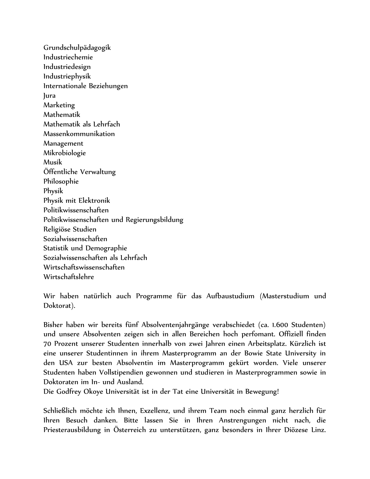Grundschulpädagogik Industriechemie Industriedesign Industriephysik Internationale Beziehungen Jura Marketing Mathematik Mathematik als Lehrfach Massenkommunikation Management Mikrobiologie Musik Öffentliche Verwaltung Philosophie Physik Physik mit Elektronik Politikwissenschaften Politikwissenschaften und Regierungsbildung Religiöse Studien Sozialwissenschaften Statistik und Demographie Sozialwissenschaften als Lehrfach Wirtschaftswissenschaften Wirtschaftslehre

Wir haben natürlich auch Programme für das Aufbaustudium (Masterstudium und Doktorat).

Bisher haben wir bereits fünf Absolventenjahrgänge verabschiedet (ca. 1.600 Studenten) und unsere Absolventen zeigen sich in allen Bereichen hoch perfomant. Offiziell finden 70 Prozent unserer Studenten innerhalb von zwei Jahren einen Arbeitsplatz. Kürzlich ist eine unserer Studentinnen in ihrem Masterprogramm an der Bowie State University in den USA zur besten Absolventin im Masterprogramm gekürt worden. Viele unserer Studenten haben Vollstipendien gewonnen und studieren in Masterprogrammen sowie in Doktoraten im In- und Ausland.

Die Godfrey Okoye Universität ist in der Tat eine Universität in Bewegung!

Schließlich möchte ich Ihnen, Exzellenz, und ihrem Team noch einmal ganz herzlich für Ihren Besuch danken. Bitte lassen Sie in Ihren Anstrengungen nicht nach, die Priesterausbildung in Österreich zu unterstützen, ganz besonders in Ihrer Diözese Linz.